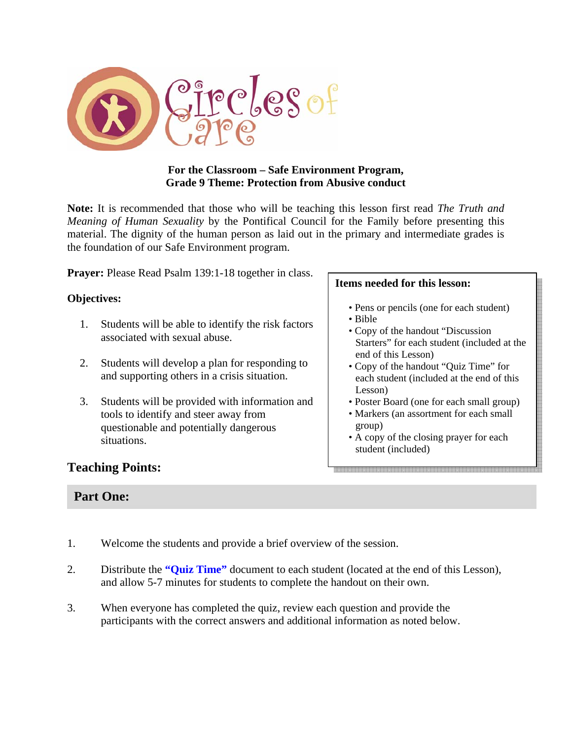

#### **For the Classroom – Safe Environment Program, Grade 9 Theme: Protection from Abusive conduct**

**Note:** It is recommended that those who will be teaching this lesson first read *The Truth and Meaning of Human Sexuality* by the Pontifical Council for the Family before presenting this material. The dignity of the human person as laid out in the primary and intermediate grades is the foundation of our Safe Environment program.

**Prayer:** Please Read Psalm 139:1-18 together in class.

#### **Objectives:**

- 1. Students will be able to identify the risk factors associated with sexual abuse.
- 2. Students will develop a plan for responding to and supporting others in a crisis situation.
- 3. Students will be provided with information and tools to identify and steer away from questionable and potentially dangerous situations.

#### **Items needed for this lesson:**

- Pens or pencils (one for each student)
- Bible
- Copy of the handout "Discussion Starters" for each student (included at the end of this Lesson)
- Copy of the handout "Quiz Time" for each student (included at the end of this Lesson)
- Poster Board (one for each small group)
- Markers (an assortment for each small group)
- A copy of the closing prayer for each student (included)

# **Teaching Points:**

#### **Part One:**

- 1. Welcome the students and provide a brief overview of the session.
- 2. Distribute the **"Quiz Time"** document to each student (located at the end of this Lesson), and allow 5-7 minutes for students to complete the handout on their own.
- 3. When everyone has completed the quiz, review each question and provide the participants with the correct answers and additional information as noted below.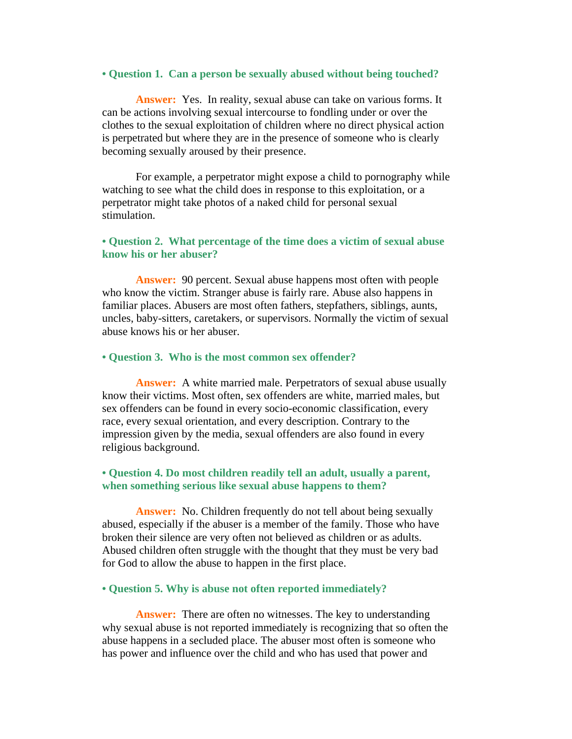#### **• Question 1. Can a person be sexually abused without being touched?**

**Answer:** Yes. In reality, sexual abuse can take on various forms. It can be actions involving sexual intercourse to fondling under or over the clothes to the sexual exploitation of children where no direct physical action is perpetrated but where they are in the presence of someone who is clearly becoming sexually aroused by their presence.

For example, a perpetrator might expose a child to pornography while watching to see what the child does in response to this exploitation, or a perpetrator might take photos of a naked child for personal sexual stimulation.

#### **• Question 2. What percentage of the time does a victim of sexual abuse know his or her abuser?**

**Answer:** 90 percent. Sexual abuse happens most often with people who know the victim. Stranger abuse is fairly rare. Abuse also happens in familiar places. Abusers are most often fathers, stepfathers, siblings, aunts, uncles, baby-sitters, caretakers, or supervisors. Normally the victim of sexual abuse knows his or her abuser.

#### **• Question 3. Who is the most common sex offender?**

**Answer:** A white married male. Perpetrators of sexual abuse usually know their victims. Most often, sex offenders are white, married males, but sex offenders can be found in every socio-economic classification, every race, every sexual orientation, and every description. Contrary to the impression given by the media, sexual offenders are also found in every religious background.

#### **• Question 4. Do most children readily tell an adult, usually a parent, when something serious like sexual abuse happens to them?**

**Answer:** No. Children frequently do not tell about being sexually abused, especially if the abuser is a member of the family. Those who have broken their silence are very often not believed as children or as adults. Abused children often struggle with the thought that they must be very bad for God to allow the abuse to happen in the first place.

#### **• Question 5. Why is abuse not often reported immediately?**

**Answer:** There are often no witnesses. The key to understanding why sexual abuse is not reported immediately is recognizing that so often the abuse happens in a secluded place. The abuser most often is someone who has power and influence over the child and who has used that power and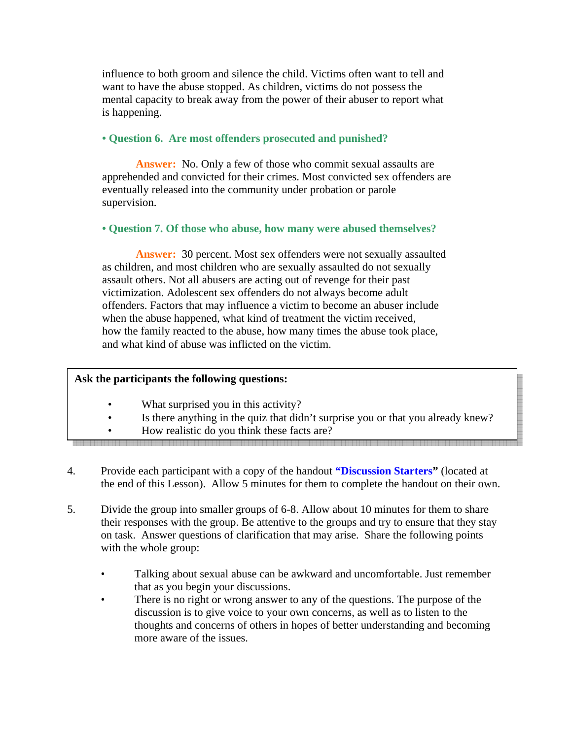influence to both groom and silence the child. Victims often want to tell and want to have the abuse stopped. As children, victims do not possess the mental capacity to break away from the power of their abuser to report what is happening.

#### **• Question 6. Are most offenders prosecuted and punished?**

**Answer:** No. Only a few of those who commit sexual assaults are apprehended and convicted for their crimes. Most convicted sex offenders are eventually released into the community under probation or parole supervision.

#### **• Question 7. Of those who abuse, how many were abused themselves?**

**Answer:** 30 percent. Most sex offenders were not sexually assaulted as children, and most children who are sexually assaulted do not sexually assault others. Not all abusers are acting out of revenge for their past victimization. Adolescent sex offenders do not always become adult offenders. Factors that may influence a victim to become an abuser include when the abuse happened, what kind of treatment the victim received, how the family reacted to the abuse, how many times the abuse took place, and what kind of abuse was inflicted on the victim.

#### **Ask the participants the following questions:**

.<br>Г

- What surprised you in this activity?
- Is there anything in the quiz that didn't surprise you or that you already knew?
- How realistic do you think these facts are?
- 4. Provide each participant with a copy of the handout **"Discussion Starters"** (located at the end of this Lesson). Allow 5 minutes for them to complete the handout on their own.
- 5. Divide the group into smaller groups of 6-8. Allow about 10 minutes for them to share their responses with the group. Be attentive to the groups and try to ensure that they stay on task. Answer questions of clarification that may arise. Share the following points with the whole group:
	- Talking about sexual abuse can be awkward and uncomfortable. Just remember that as you begin your discussions.
	- There is no right or wrong answer to any of the questions. The purpose of the discussion is to give voice to your own concerns, as well as to listen to the thoughts and concerns of others in hopes of better understanding and becoming more aware of the issues.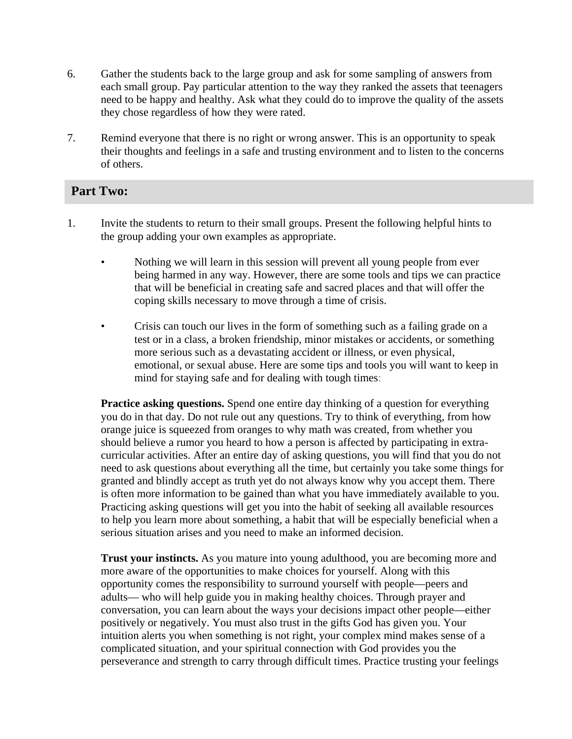- 6. Gather the students back to the large group and ask for some sampling of answers from each small group. Pay particular attention to the way they ranked the assets that teenagers need to be happy and healthy. Ask what they could do to improve the quality of the assets they chose regardless of how they were rated.
- 7. Remind everyone that there is no right or wrong answer. This is an opportunity to speak their thoughts and feelings in a safe and trusting environment and to listen to the concerns of others.

## **Part Two:**

- 1. Invite the students to return to their small groups. Present the following helpful hints to the group adding your own examples as appropriate.
	- Nothing we will learn in this session will prevent all young people from ever being harmed in any way. However, there are some tools and tips we can practice that will be beneficial in creating safe and sacred places and that will offer the coping skills necessary to move through a time of crisis.
	- Crisis can touch our lives in the form of something such as a failing grade on a test or in a class, a broken friendship, minor mistakes or accidents, or something more serious such as a devastating accident or illness, or even physical, emotional, or sexual abuse. Here are some tips and tools you will want to keep in mind for staying safe and for dealing with tough times:

**Practice asking questions.** Spend one entire day thinking of a question for everything you do in that day. Do not rule out any questions. Try to think of everything, from how orange juice is squeezed from oranges to why math was created, from whether you should believe a rumor you heard to how a person is affected by participating in extracurricular activities. After an entire day of asking questions, you will find that you do not need to ask questions about everything all the time, but certainly you take some things for granted and blindly accept as truth yet do not always know why you accept them. There is often more information to be gained than what you have immediately available to you. Practicing asking questions will get you into the habit of seeking all available resources to help you learn more about something, a habit that will be especially beneficial when a serious situation arises and you need to make an informed decision.

**Trust your instincts.** As you mature into young adulthood, you are becoming more and more aware of the opportunities to make choices for yourself. Along with this opportunity comes the responsibility to surround yourself with people—peers and adults— who will help guide you in making healthy choices. Through prayer and conversation, you can learn about the ways your decisions impact other people—either positively or negatively. You must also trust in the gifts God has given you. Your intuition alerts you when something is not right, your complex mind makes sense of a complicated situation, and your spiritual connection with God provides you the perseverance and strength to carry through difficult times. Practice trusting your feelings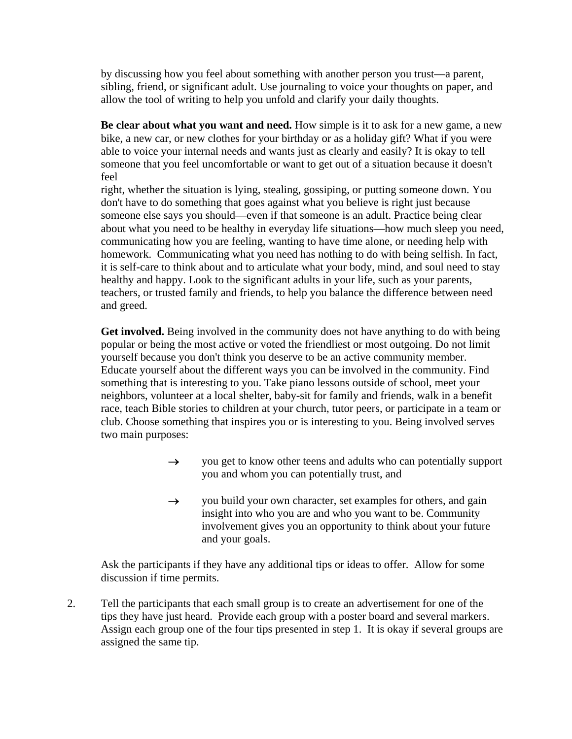by discussing how you feel about something with another person you trust—a parent, sibling, friend, or significant adult. Use journaling to voice your thoughts on paper, and allow the tool of writing to help you unfold and clarify your daily thoughts.

**Be clear about what you want and need.** How simple is it to ask for a new game, a new bike, a new car, or new clothes for your birthday or as a holiday gift? What if you were able to voice your internal needs and wants just as clearly and easily? It is okay to tell someone that you feel uncomfortable or want to get out of a situation because it doesn't feel

right, whether the situation is lying, stealing, gossiping, or putting someone down. You don't have to do something that goes against what you believe is right just because someone else says you should—even if that someone is an adult. Practice being clear about what you need to be healthy in everyday life situations—how much sleep you need, communicating how you are feeling, wanting to have time alone, or needing help with homework. Communicating what you need has nothing to do with being selfish. In fact, it is self-care to think about and to articulate what your body, mind, and soul need to stay healthy and happy. Look to the significant adults in your life, such as your parents, teachers, or trusted family and friends, to help you balance the difference between need and greed.

**Get involved.** Being involved in the community does not have anything to do with being popular or being the most active or voted the friendliest or most outgoing. Do not limit yourself because you don't think you deserve to be an active community member. Educate yourself about the different ways you can be involved in the community. Find something that is interesting to you. Take piano lessons outside of school, meet your neighbors, volunteer at a local shelter, baby-sit for family and friends, walk in a benefit race, teach Bible stories to children at your church, tutor peers, or participate in a team or club. Choose something that inspires you or is interesting to you. Being involved serves two main purposes:

- $\rightarrow$  you get to know other teens and adults who can potentially support you and whom you can potentially trust, and
- $\rightarrow$  you build your own character, set examples for others, and gain insight into who you are and who you want to be. Community involvement gives you an opportunity to think about your future and your goals.

Ask the participants if they have any additional tips or ideas to offer. Allow for some discussion if time permits.

2. Tell the participants that each small group is to create an advertisement for one of the tips they have just heard. Provide each group with a poster board and several markers. Assign each group one of the four tips presented in step 1. It is okay if several groups are assigned the same tip.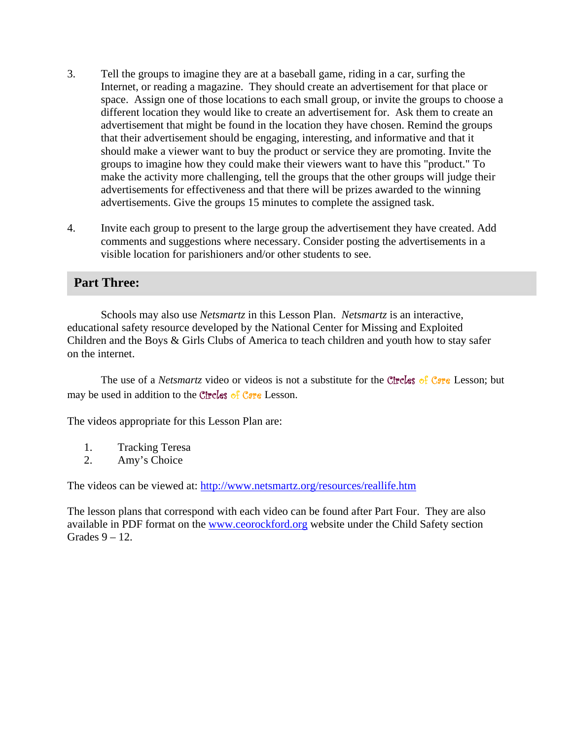- 3. Tell the groups to imagine they are at a baseball game, riding in a car, surfing the Internet, or reading a magazine. They should create an advertisement for that place or space. Assign one of those locations to each small group, or invite the groups to choose a different location they would like to create an advertisement for. Ask them to create an advertisement that might be found in the location they have chosen. Remind the groups that their advertisement should be engaging, interesting, and informative and that it should make a viewer want to buy the product or service they are promoting. Invite the groups to imagine how they could make their viewers want to have this "product." To make the activity more challenging, tell the groups that the other groups will judge their advertisements for effectiveness and that there will be prizes awarded to the winning advertisements. Give the groups 15 minutes to complete the assigned task.
- 4. Invite each group to present to the large group the advertisement they have created. Add comments and suggestions where necessary. Consider posting the advertisements in a visible location for parishioners and/or other students to see.

### **Part Three:**

Schools may also use *Netsmartz* in this Lesson Plan. *Netsmartz* is an interactive, educational safety resource developed by the National Center for Missing and Exploited Children and the Boys & Girls Clubs of America to teach children and youth how to stay safer on the internet.

The use of a *Netsmartz* video or videos is not a substitute for the Circles of Care Lesson; but may be used in addition to the Circles of Care Lesson.

The videos appropriate for this Lesson Plan are:

- 1. Tracking Teresa
- 2. Amy's Choice

The videos can be viewed at: http://www.netsmartz.org/resources/reallife.htm

The lesson plans that correspond with each video can be found after Part Four. They are also available in PDF format on the www.ceorockford.org website under the Child Safety section Grades  $9 - 12$ .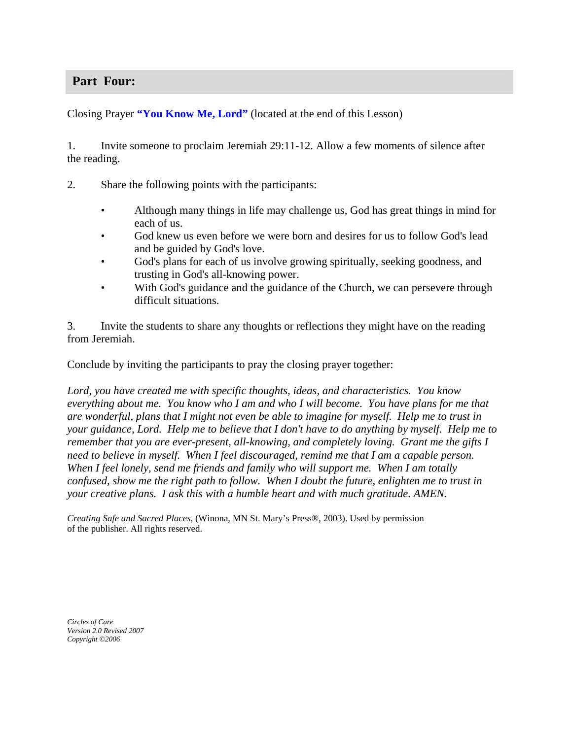# **Part Four:**

Closing Prayer **"You Know Me, Lord"** (located at the end of this Lesson)

1. Invite someone to proclaim Jeremiah 29:11-12. Allow a few moments of silence after the reading.

2. Share the following points with the participants:

- Although many things in life may challenge us, God has great things in mind for each of us.
- God knew us even before we were born and desires for us to follow God's lead and be guided by God's love.
- God's plans for each of us involve growing spiritually, seeking goodness, and trusting in God's all-knowing power.
- With God's guidance and the guidance of the Church, we can persevere through difficult situations.

3. Invite the students to share any thoughts or reflections they might have on the reading from Jeremiah.

Conclude by inviting the participants to pray the closing prayer together:

*Lord, you have created me with specific thoughts, ideas, and characteristics. You know everything about me. You know who I am and who I will become. You have plans for me that are wonderful, plans that I might not even be able to imagine for myself. Help me to trust in your guidance, Lord. Help me to believe that I don't have to do anything by myself. Help me to remember that you are ever-present, all-knowing, and completely loving. Grant me the gifts I need to believe in myself. When I feel discouraged, remind me that I am a capable person. When I feel lonely, send me friends and family who will support me. When I am totally confused, show me the right path to follow. When I doubt the future, enlighten me to trust in your creative plans. I ask this with a humble heart and with much gratitude. AMEN.* 

*Creating Safe and Sacred Places,* (Winona, MN St. Mary's Press®, 2003). Used by permission of the publisher. All rights reserved.

*Circles of Care Version 2.0 Revised 2007 Copyright ©2006*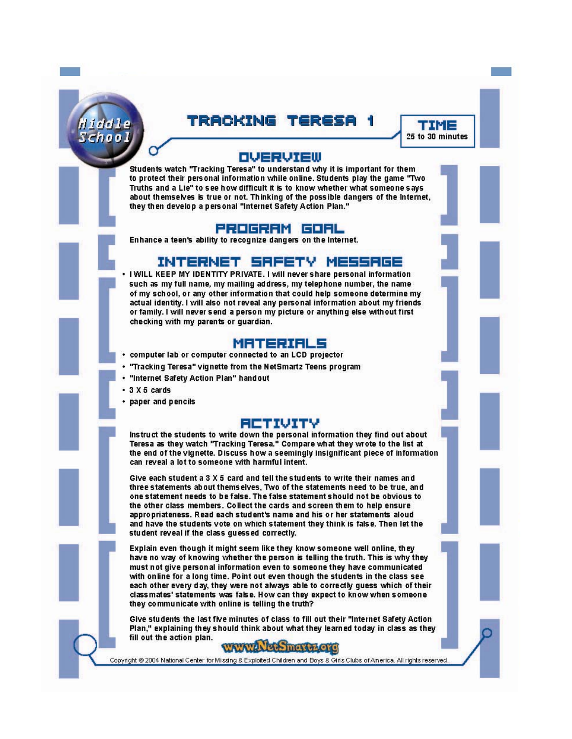i dd Le Schoo

# TRACKING TERESA

TIME 25 to 30 minutes

## OVERVIEW

Students watch "Tracking Teresa" to understand why it is important for them to protect their personal information while online. Students play the game "Two Truths and a Lie" to see how difficult it is to know whether what someone says about themselves is true or not. Thinking of the possible dangers of the Internet, they then develop a personal "Internet Safety Action Plan."

### 巴克阿氏克雷图 医阿哥耳

Enhance a teen's ability to recognize dangers on the Internet.

#### INTERNET SAFETY 固定与与同方量

. I WILL KEEP MY IDENTITY PRIVATE. I will never share personal information such as my full name, my mailing address, my telephone number, the name of my school, or any other information that could help someone determine my actual identity. I will also not reveal any personal information about my friends or family. I will never send a person my picture or anything else without first checking with my parents or guardian.

## MATERIALS

- computer lab or computer connected to an LCD projector
- "Tracking Teresa" vignette from the NetSmartz Teens program
- . "Internet Safety Action Plan" handout
- $\cdot$  3 X 5 cards
- paper and pencils

#### HETIVITY

instruct the students to write down the personal information they find out about Teresa as they watch "Tracking Teresa." Compare what they wrote to the list at the end of the vignette. Discuss how a seemingly insignificant piece of information can reveal a lot to someone with harmful intent.

Give each student a 3 X 5 card and tell the students to write their names and three statements about themselves, Two of the statements need to be true, and one statement needs to be false. The false statement should not be obvious to the other class members. Collect the cards and screen them to help ensure appropriateness. Read each student's name and his or her statements aloud and have the students vote on which statement they think is false. Then let the student reveal if the class quessed correctly.

Explain even though it might seem like they know someone well online, they have no way of knowing whether the person is telling the truth. This is why they must not give personal information even to someone they have communicated with online for a long time. Point out even though the students in the class see each other every day, they were not always able to correctly guess which of their class mates' statements was false. How can they expect to know when someone they communicate with online is telling the truth?

Give students the last five minutes of class to fill out their "Internet Safety Action Plan," explaining they should think about what they learned today in class as they fill out the action plan.



Copyright @ 2004 National Center for Missing & Exploited Children and Boys & Girls Clubs of America. All rights reserved.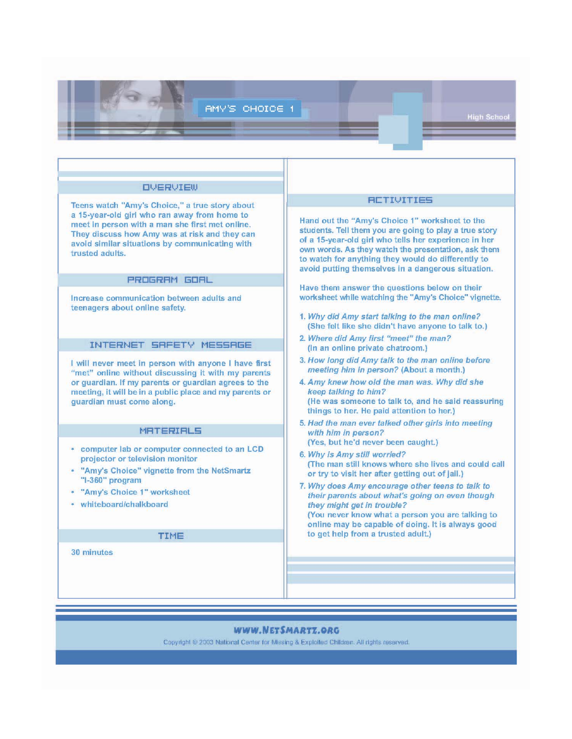

Ш

**High School** 

| OVERVIEW                                                                                                                                                                                                                                                                |                                                                                                                                                                                                                                                                                                                                      |
|-------------------------------------------------------------------------------------------------------------------------------------------------------------------------------------------------------------------------------------------------------------------------|--------------------------------------------------------------------------------------------------------------------------------------------------------------------------------------------------------------------------------------------------------------------------------------------------------------------------------------|
|                                                                                                                                                                                                                                                                         | <b>RETIVITIES</b>                                                                                                                                                                                                                                                                                                                    |
| Teens watch "Amy's Choice," a true story about<br>a 15-year-old girl who ran away from home to<br>meet in person with a man she first met online.<br>They discuss how Amy was at risk and they can<br>avoid similar situations by communicating with<br>trusted adults. | Hand out the "Amy's Choice 1" worksheet to the<br>students. Tell them you are going to play a true story<br>of a 15-year-old girl who tells her experience in her<br>own words. As they watch the presentation, ask them<br>to watch for anything they would do differently to<br>avoid putting themselves in a dangerous situation. |
| PROGRAM GOAL                                                                                                                                                                                                                                                            |                                                                                                                                                                                                                                                                                                                                      |
| Increase communication between adults and<br>teenagers about online safety.                                                                                                                                                                                             | Have them answer the questions below on their<br>worksheet while watching the "Amy's Choice" vignette.<br>1. Why did Amy start talking to the man online?<br>(She felt like she didn't have anyone to talk to.)                                                                                                                      |
| INTERNET SHFETY MESSHGE                                                                                                                                                                                                                                                 | 2. Where did Amy first "meet" the man?<br>(In an online private chatroom.)                                                                                                                                                                                                                                                           |
| I will never meet in person with anyone I have first<br>"met" online without discussing it with my parents<br>or guardian. If my parents or guardian agrees to the<br>meeting, it will be in a public place and my parents or<br>guardian must come along.              | 3. How long did Amy talk to the man online before<br>meeting him in person? (About a month.)                                                                                                                                                                                                                                         |
|                                                                                                                                                                                                                                                                         | 4. Amy knew how old the man was. Why did she<br>keep talking to him?<br>(He was someone to talk to, and he said reassuring<br>things to her. He paid attention to her.)                                                                                                                                                              |
| MATERIALS                                                                                                                                                                                                                                                               | 5. Had the man ever talked other girls into meeting<br>with him in person?                                                                                                                                                                                                                                                           |
| • computer lab or computer connected to an LCD<br>projector or television monitor<br>. "Amy's Choice" vignette from the NetSmartz                                                                                                                                       | (Yes, but he'd never been caught.)<br>6. Why is Amy still worried?<br>(The man still knows where she lives and could call<br>or try to visit her after getting out of jail.)                                                                                                                                                         |
| "I-360" program                                                                                                                                                                                                                                                         | 7. Why does Amy encourage other teens to talk to                                                                                                                                                                                                                                                                                     |
| • "Amy's Choice 1" worksheet<br>· whiteboard/chalkboard                                                                                                                                                                                                                 | their parents about what's going on even though<br>they might get in trouble?<br>(You never know what a person you are talking to<br>online may be capable of doing. It is always good                                                                                                                                               |
| <b>TIME</b>                                                                                                                                                                                                                                                             | to get help from a trusted adult.)                                                                                                                                                                                                                                                                                                   |
| 30 minutes                                                                                                                                                                                                                                                              |                                                                                                                                                                                                                                                                                                                                      |

#### WWW.NETSMARTZ.ORG

Copyright @ 2003 National Center for Missing & Exploited Children. All rights reserved.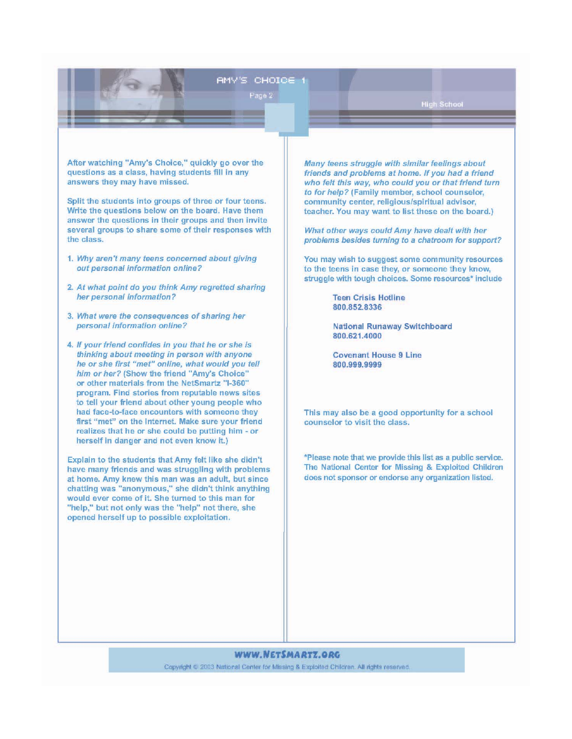AMY'S CHOICE

**High School** 

After watching "Amy's Choice," guickly go over the questions as a class, having students fill in any answers they may have missed.

Split the students into groups of three or four teens. Write the questions below on the board. Have them answer the questions in their groups and then invite several groups to share some of their responses with the class.

- 1. Why aren't many teens concerned about giving out personal information online?
- 2. At what point do you think Amy regretted sharing her personal information?
- 3. What were the consequences of sharing her personal information online?
- 4. If your friend confides in you that he or she is thinking about meeting in person with anyone he or she first "met" online, what would you tell him or her? (Show the friend "Amy's Choice" or other materials from the NetSmartz "I-360" program. Find stories from reputable news sites to tell your friend about other young people who had face-to-face encounters with someone they first "met" on the Internet. Make sure your friend realizes that he or she could be putting him - or herself in danger and not even know it.)

Explain to the students that Amy felt like she didn't have many friends and was struggling with problems at home. Amy knew this man was an adult, but since chatting was "anonymous," she didn't think anything would ever come of it. She turned to this man for "help," but not only was the "help" not there, she opened herself up to possible exploitation.

Many teens struggle with similar feelings about friends and problems at home. If you had a friend who felt this way, who could you or that friend turn to for help? (Family member, school counselor, community center, religious/spiritual advisor, teacher. You may want to list these on the board.)

What other ways could Amy have dealt with her problems besides turning to a chatroom for support?

You may wish to suggest some community resources to the teens in case they, or someone they know. struggle with tough choices. Some resources\* include

> **Teen Crisis Hotline** 800.852.8336

**National Runaway Switchboard** 800.621.4000

**Covenant House 9 Line** 800.999.9999

This may also be a good opportunity for a school counselor to visit the class.

\*Please note that we provide this list as a public service. The National Center for Missing & Exploited Children does not sponsor or endorse any organization listed.

#### WWW.NETSMARTZ.ORG

Copyright @ 2003 National Center for Missing & Exploited Children. All rights reserved.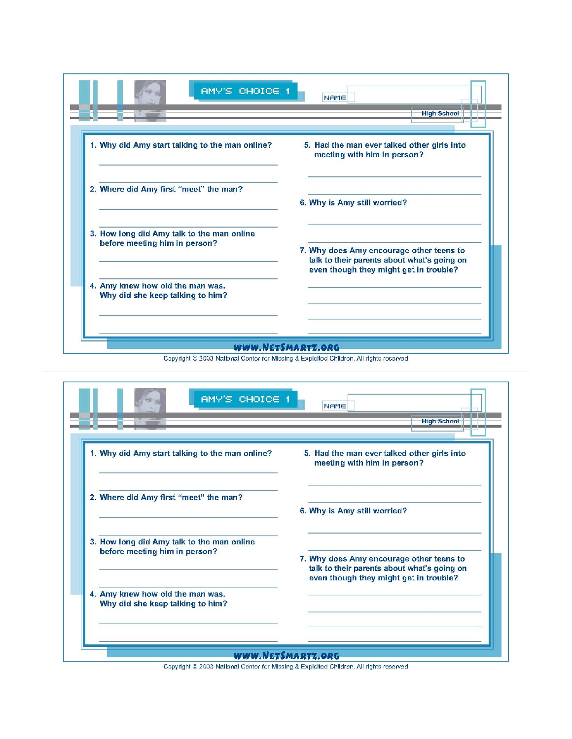

Copyright @ 2003 National Center for Missing & Exploited Children. All rights reserved.



Copyright @ 2003 National Center for Missing & Exploited Children. All rights reserved.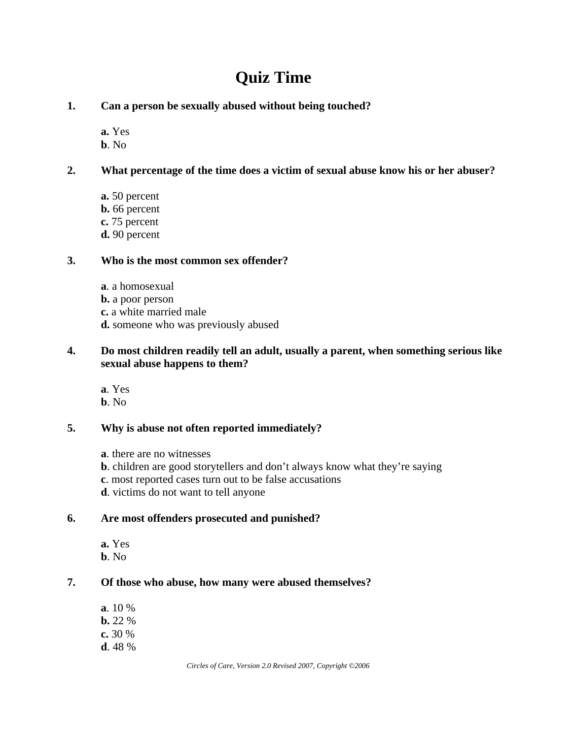# **Quiz Time**

#### **1. Can a person be sexually abused without being touched?**

**a.** Yes **b**. No

#### **2. What percentage of the time does a victim of sexual abuse know his or her abuser?**

**a.** 50 percent **b.** 66 percent **c.** 75 percent **d.** 90 percent

#### **3. Who is the most common sex offender?**

- **a**. a homosexual
- **b.** a poor person
- **c.** a white married male
- **d.** someone who was previously abused

#### **4. Do most children readily tell an adult, usually a parent, when something serious like sexual abuse happens to them?**

- **a**. Yes
- **b**. No

#### **5. Why is abuse not often reported immediately?**

- **a**. there are no witnesses
- **b**. children are good storytellers and don't always know what they're saying
- **c**. most reported cases turn out to be false accusations
- **d**. victims do not want to tell anyone

#### **6. Are most offenders prosecuted and punished?**

**a.** Yes **b**. No

#### **7. Of those who abuse, how many were abused themselves?**

**a**. 10 % **b.** 22 % **c.** 30 % **d**. 48 %